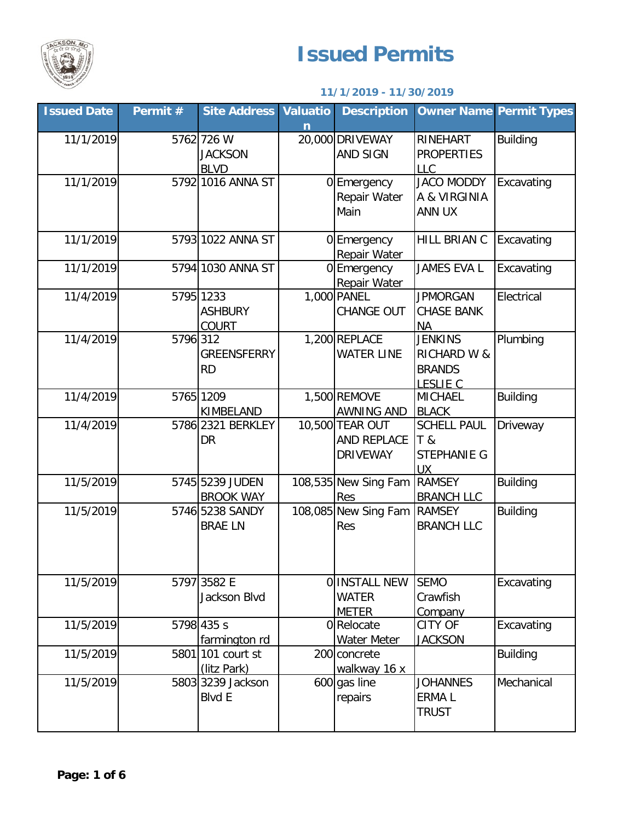

## **Issued Permits**

## **11/1/2019 - 11/30/2019**

| <b>Issued Date</b> | Permit # | <b>Site Address Valuatio</b>                | n | <b>Description</b>                                |                                                                              | <b>Owner Name Permit Types</b> |
|--------------------|----------|---------------------------------------------|---|---------------------------------------------------|------------------------------------------------------------------------------|--------------------------------|
| 11/1/2019          |          | 5762 726 W<br><b>JACKSON</b><br><b>BLVD</b> |   | 20,000 DRIVEWAY<br>AND SIGN                       | RINEHART<br><b>PROPERTIES</b><br><b>LLC</b>                                  | <b>Building</b>                |
| 11/1/2019          |          | 5792 1016 ANNA ST                           |   | 0 Emergency<br>Repair Water<br>Main               | <b>JACO MODDY</b><br>A & VIRGINIA<br>ANN UX                                  | Excavating                     |
| 11/1/2019          |          | 5793 1022 ANNA ST                           |   | 0 Emergency<br>Repair Water                       | HILL BRIAN C                                                                 | Excavating                     |
| 11/1/2019          |          | 5794 1030 ANNA ST                           |   | 0 Emergency<br>Repair Water                       | JAMES EVA L                                                                  | Excavating                     |
| 11/4/2019          |          | 5795 1233<br><b>ASHBURY</b><br><b>COURT</b> |   | 1,000 PANEL<br>CHANGE OUT                         | <b>JPMORGAN</b><br><b>CHASE BANK</b><br><b>NA</b>                            | Electrical                     |
| 11/4/2019          | 5796 312 | <b>GREENSFERRY</b><br><b>RD</b>             |   | 1,200 REPLACE<br><b>WATER LINE</b>                | <b>JENKINS</b><br><b>RICHARD W &amp;</b><br><b>BRANDS</b><br><b>LESLIE C</b> | Plumbing                       |
| 11/4/2019          |          | 5765 1209<br>KIMBELAND                      |   | 1,500 REMOVE<br>AWNING AND                        | <b>MICHAEL</b><br><b>BLACK</b>                                               | <b>Building</b>                |
| 11/4/2019          |          | 5786 2321 BERKLEY<br><b>DR</b>              |   | 10,500 TEAR OUT<br>AND REPLACE<br><b>DRIVEWAY</b> | <b>SCHELL PAUL</b><br>T &<br>STEPHANIE G<br><b>UX</b>                        | Driveway                       |
| 11/5/2019          |          | 5745 5239 JUDEN<br><b>BROOK WAY</b>         |   | 108,535 New Sing Fam<br>Res                       | <b>RAMSEY</b><br><b>BRANCH LLC</b>                                           | <b>Building</b>                |
| 11/5/2019          |          | 5746 5238 SANDY<br><b>BRAE LN</b>           |   | 108,085 New Sing Fam<br>Res                       | <b>RAMSEY</b><br><b>BRANCH LLC</b>                                           | <b>Building</b>                |
| 11/5/2019          |          | 5797 3582 E<br>Jackson Blvd                 |   | O INSTALL NEW<br><b>WATER</b><br><b>METER</b>     | <b>SEMO</b><br>Crawfish<br>Company                                           | Excavating                     |
| 11/5/2019          |          | 5798 435 s<br>farmington rd                 |   | 0 Relocate<br>Water Meter                         | <b>CITY OF</b><br><b>JACKSON</b>                                             | Excavating                     |
| 11/5/2019          |          | 5801 101 court st<br>(litz Park)            |   | 200 concrete<br>walkway 16 x                      |                                                                              | <b>Building</b>                |
| 11/5/2019          |          | 5803 3239 Jackson<br><b>Blvd E</b>          |   | 600 gas line<br>repairs                           | <b>JOHANNES</b><br><b>ERMAL</b><br><b>TRUST</b>                              | Mechanical                     |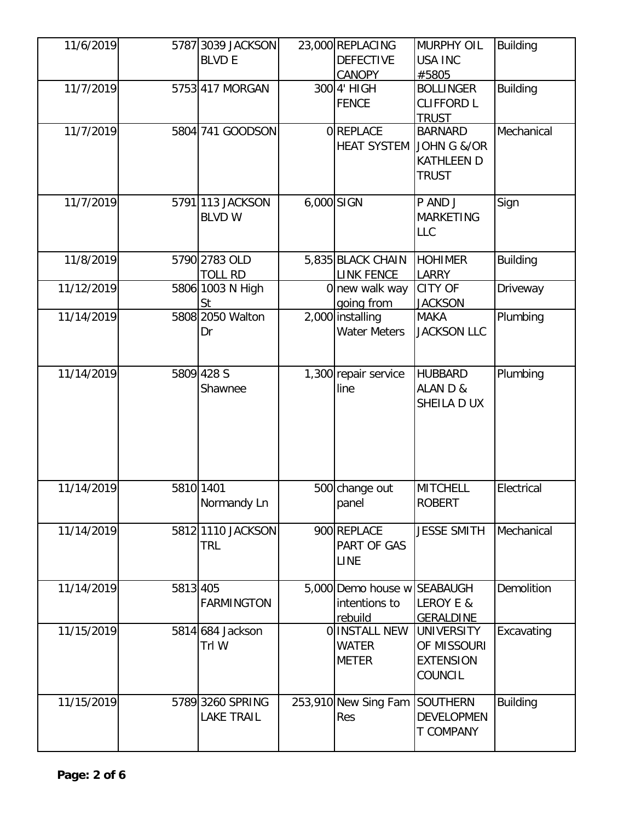| 11/6/2019  |          | 5787 3039 JACKSON |            | 23,000 REPLACING            | <b>MURPHY OIL</b>  | <b>Building</b> |
|------------|----------|-------------------|------------|-----------------------------|--------------------|-----------------|
|            |          | <b>BLVD E</b>     |            | <b>DEFECTIVE</b>            | <b>USA INC</b>     |                 |
|            |          |                   |            | <b>CANOPY</b>               | #5805              |                 |
| 11/7/2019  |          | 5753 417 MORGAN   |            | 300 4' HIGH                 | <b>BOLLINGER</b>   | <b>Building</b> |
|            |          |                   |            | <b>FENCE</b>                | <b>CLIFFORD L</b>  |                 |
|            |          |                   |            |                             | <b>TRUST</b>       |                 |
| 11/7/2019  |          | 5804 741 GOODSON  |            | OREPLACE                    | <b>BARNARD</b>     | Mechanical      |
|            |          |                   |            | <b>HEAT SYSTEM</b>          | JOHN G &/OR        |                 |
|            |          |                   |            |                             | <b>KATHLEEN D</b>  |                 |
|            |          |                   |            |                             | <b>TRUST</b>       |                 |
|            |          |                   |            |                             |                    |                 |
| 11/7/2019  |          | 5791 113 JACKSON  | 6,000 SIGN |                             | P AND J            | Sign            |
|            |          | <b>BLVD W</b>     |            |                             | <b>MARKETING</b>   |                 |
|            |          |                   |            |                             | <b>LLC</b>         |                 |
|            |          |                   |            |                             |                    |                 |
| 11/8/2019  |          | 5790 2783 OLD     |            | 5,835 BLACK CHAIN           | <b>HOHIMER</b>     | <b>Building</b> |
|            |          | <b>TOLL RD</b>    |            | <b>LINK FENCE</b>           | <b>LARRY</b>       |                 |
| 11/12/2019 |          | 5806 1003 N High  |            | 0 new walk way              | <b>CITY OF</b>     | Driveway        |
|            |          | St                |            | going from                  | <b>JACKSON</b>     |                 |
| 11/14/2019 |          | 5808 2050 Walton  |            | 2,000 installing            | <b>MAKA</b>        | Plumbing        |
|            |          | Dr                |            | <b>Water Meters</b>         | <b>JACKSON LLC</b> |                 |
|            |          |                   |            |                             |                    |                 |
|            |          |                   |            |                             |                    |                 |
| 11/14/2019 |          | 5809 428 S        |            | 1,300 repair service        | <b>HUBBARD</b>     | Plumbing        |
|            |          | Shawnee           |            | line                        | ALAN D &           |                 |
|            |          |                   |            |                             | SHEILA D UX        |                 |
|            |          |                   |            |                             |                    |                 |
|            |          |                   |            |                             |                    |                 |
|            |          |                   |            |                             |                    |                 |
|            |          |                   |            |                             |                    |                 |
|            |          |                   |            |                             |                    |                 |
| 11/14/2019 |          | 5810 1401         |            | 500 change out              | <b>MITCHELL</b>    | Electrical      |
|            |          | Normandy Ln       |            | panel                       | <b>ROBERT</b>      |                 |
| 11/14/2019 |          | 5812 1110 JACKSON |            | 900 REPLACE                 | <b>JESSE SMITH</b> | Mechanical      |
|            |          |                   |            | PART OF GAS                 |                    |                 |
|            |          | TRL               |            |                             |                    |                 |
|            |          |                   |            | <b>LINE</b>                 |                    |                 |
| 11/14/2019 | 5813 405 |                   |            | 5,000 Demo house w SEABAUGH |                    | Demolition      |
|            |          | <b>FARMINGTON</b> |            | intentions to               | LEROY E &          |                 |
|            |          |                   |            | rebuild                     | <b>GERALDINE</b>   |                 |
| 11/15/2019 |          | 5814 684 Jackson  |            | O INSTALL NEW               | <b>UNIVERSITY</b>  | Excavating      |
|            |          | Trl W             |            | <b>WATER</b>                | OF MISSOURI        |                 |
|            |          |                   |            | <b>METER</b>                | <b>EXTENSION</b>   |                 |
|            |          |                   |            |                             | COUNCIL            |                 |
|            |          |                   |            |                             |                    |                 |
| 11/15/2019 |          | 5789 3260 SPRING  |            | 253,910 New Sing Fam        | <b>SOUTHERN</b>    | <b>Building</b> |
|            |          | <b>LAKE TRAIL</b> |            | Res                         | <b>DEVELOPMEN</b>  |                 |
|            |          |                   |            |                             | <b>T COMPANY</b>   |                 |
|            |          |                   |            |                             |                    |                 |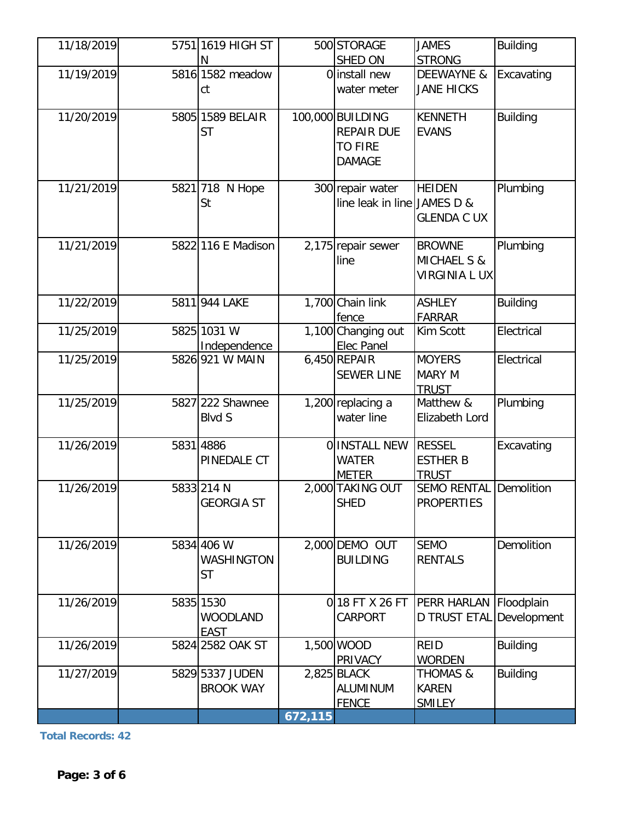| 11/18/2019 | 5751 1619 HIGH ST               |         | 500 STORAGE                      | <b>JAMES</b>                       | <b>Building</b> |
|------------|---------------------------------|---------|----------------------------------|------------------------------------|-----------------|
|            | N                               |         | SHED ON                          | <b>STRONG</b>                      |                 |
| 11/19/2019 | 5816 1582 meadow                |         | 0 install new                    | <b>DEEWAYNE &amp;</b>              | Excavating      |
|            | ct                              |         | water meter                      | <b>JANE HICKS</b>                  |                 |
| 11/20/2019 | 5805 1589 BELAIR                |         | 100,000 BUILDING                 | <b>KENNETH</b>                     | <b>Building</b> |
|            | <b>ST</b>                       |         | <b>REPAIR DUE</b>                | <b>EVANS</b>                       |                 |
|            |                                 |         | <b>TO FIRE</b>                   |                                    |                 |
|            |                                 |         | <b>DAMAGE</b>                    |                                    |                 |
|            |                                 |         |                                  |                                    |                 |
| 11/21/2019 | 5821 718 N Hope                 |         | 300 repair water                 | <b>HEIDEN</b>                      | Plumbing        |
|            | St                              |         | line leak in line JAMES D &      |                                    |                 |
|            |                                 |         |                                  | <b>GLENDA C UX</b>                 |                 |
| 11/21/2019 | 5822 116 E Madison              |         | 2,175 repair sewer               | <b>BROWNE</b>                      | Plumbing        |
|            |                                 |         | line                             | MICHAEL S &                        |                 |
|            |                                 |         |                                  | <b>VIRGINIA L UX</b>               |                 |
|            |                                 |         |                                  |                                    |                 |
| 11/22/2019 | 5811 944 LAKE                   |         | 1,700 Chain link                 | <b>ASHLEY</b>                      | <b>Building</b> |
|            |                                 |         | fence                            | <b>FARRAR</b>                      |                 |
| 11/25/2019 | 5825 1031 W                     |         | 1,100 Changing out               | Kim Scott                          | Electrical      |
| 11/25/2019 | Independence<br>5826 921 W MAIN |         | Elec Panel<br>6,450 REPAIR       | <b>MOYERS</b>                      | Electrical      |
|            |                                 |         | <b>SEWER LINE</b>                | <b>MARY M</b>                      |                 |
|            |                                 |         |                                  | <b>TRUST</b>                       |                 |
| 11/25/2019 | 5827 222 Shawnee                |         | 1,200 replacing a                | Matthew &                          | Plumbing        |
|            | <b>Blvd S</b>                   |         | water line                       | Elizabeth Lord                     |                 |
|            |                                 |         |                                  |                                    |                 |
| 11/26/2019 | 5831 4886                       |         | O INSTALL NEW                    | <b>RESSEL</b>                      | Excavating      |
|            | PINEDALE CT                     |         | <b>WATER</b>                     | <b>ESTHER B</b>                    |                 |
| 11/26/2019 | 5833 214 N                      |         | <b>METER</b><br>2,000 TAKING OUT | <b>TRUST</b><br><b>SEMO RENTAL</b> | Demolition      |
|            | <b>GEORGIA ST</b>               |         | <b>SHED</b>                      | <b>PROPERTIES</b>                  |                 |
|            |                                 |         |                                  |                                    |                 |
|            |                                 |         |                                  |                                    |                 |
| 11/26/2019 | 5834 406 W                      |         | 2,000 DEMO OUT                   | <b>SEMO</b>                        | Demolition      |
|            | WASHINGTON                      |         | <b>BUILDING</b>                  | <b>RENTALS</b>                     |                 |
|            | <b>ST</b>                       |         |                                  |                                    |                 |
| 11/26/2019 | 5835 1530                       |         | 018 FT X 26 FT                   | <b>PERR HARLAN</b>                 |                 |
|            | <b>WOODLAND</b>                 |         | <b>CARPORT</b>                   | D TRUST ETAL Development           | Floodplain      |
|            | <b>EAST</b>                     |         |                                  |                                    |                 |
| 11/26/2019 | 5824 2582 OAK ST                |         | 1,500 WOOD                       | <b>REID</b>                        | <b>Building</b> |
|            |                                 |         | PRIVACY                          | <b>WORDEN</b>                      |                 |
| 11/27/2019 | 5829 5337 JUDEN                 |         | 2,825 BLACK                      | THOMAS &                           | <b>Building</b> |
|            | <b>BROOK WAY</b>                |         | <b>ALUMINUM</b>                  | <b>KAREN</b>                       |                 |
|            |                                 |         | <b>FENCE</b>                     | <b>SMILEY</b>                      |                 |
|            |                                 | 672,115 |                                  |                                    |                 |

**Total Records: 42**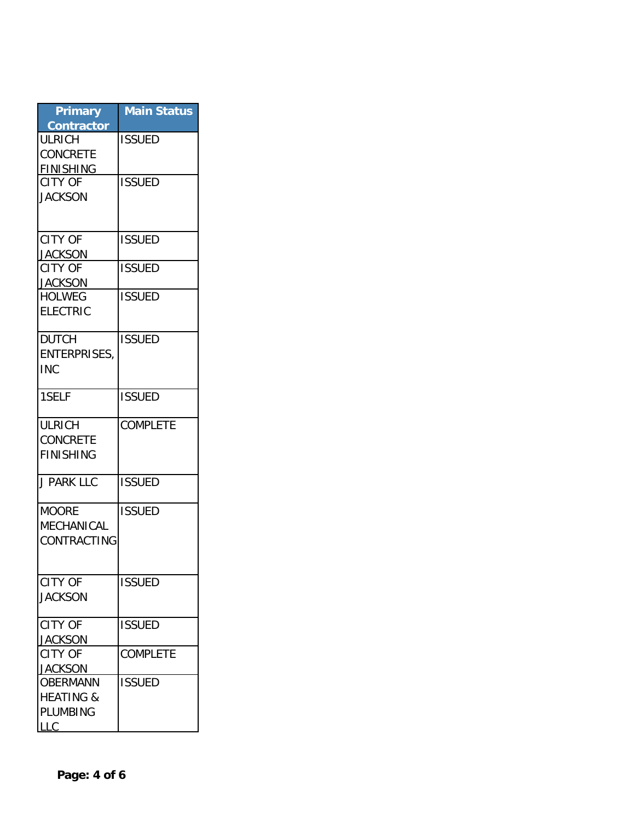| <b>Primary</b>                     | <b>Main Status</b> |
|------------------------------------|--------------------|
| <b>Contractor</b>                  |                    |
| <b>ULRICH</b>                      | <b>ISSUED</b>      |
| <b>CONCRETE</b>                    |                    |
| <b>FINISHING</b><br><b>CITY OF</b> | <b>ISSUED</b>      |
| <b>JACKSON</b>                     |                    |
|                                    |                    |
|                                    |                    |
| <b>CITY OF</b>                     | <b>ISSUED</b>      |
| <b>JACKSON</b>                     |                    |
| <b>CITY OF</b>                     | <b>ISSUED</b>      |
| <b>JACKSON</b>                     |                    |
| <b>HOLWEG</b>                      | <b>ISSUED</b>      |
| <b>ELECTRIC</b>                    |                    |
|                                    |                    |
| <b>DUTCH</b>                       | <b>ISSUED</b>      |
| <b>ENTERPRISES,</b>                |                    |
| <b>INC</b>                         |                    |
| 1SELF                              | <b>ISSUED</b>      |
|                                    |                    |
| <b>ULRICH</b>                      | <b>COMPLETE</b>    |
| <b>CONCRETE</b>                    |                    |
| <b>FINISHING</b>                   |                    |
|                                    |                    |
| <b>J PARK LLC</b>                  | <b>ISSUED</b>      |
| <b>MOORE</b>                       | <b>ISSUED</b>      |
| MECHANICAL                         |                    |
| CONTRACTING                        |                    |
|                                    |                    |
|                                    |                    |
| <b>CITY OF</b>                     | <b>ISSUED</b>      |
| <b>JACKSON</b>                     |                    |
|                                    |                    |
| <b>CITY OF</b>                     | <b>ISSUED</b>      |
| <b>JACKSON</b>                     |                    |
| <b>CITY OF</b>                     | <b>COMPLETE</b>    |
| <b>JACKSON</b><br><b>OBERMANN</b>  | <b>ISSUED</b>      |
| <b>HEATING &amp;</b>               |                    |
| PLUMBING                           |                    |
| <b>LLC</b>                         |                    |
|                                    |                    |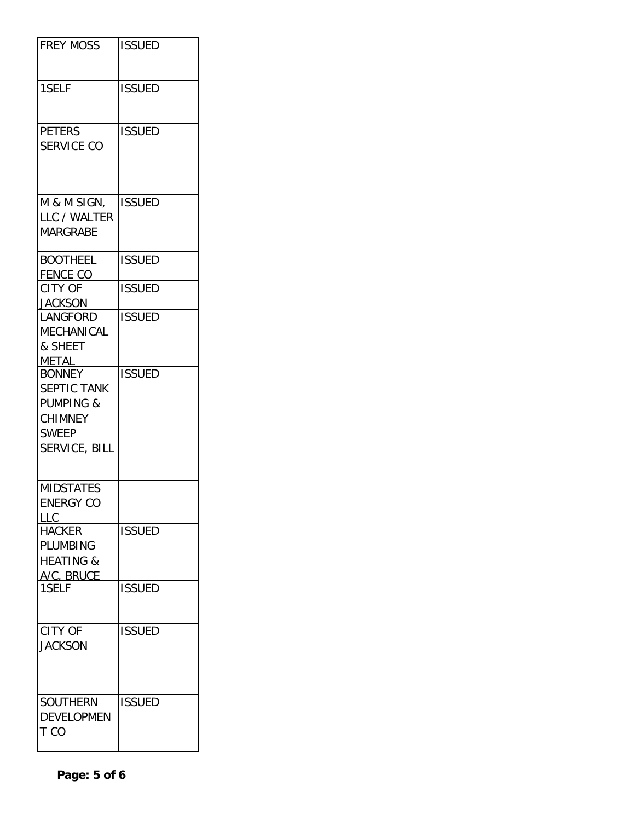| <b>FREY MOSS</b>                                                                                        | <b>ISSUED</b> |
|---------------------------------------------------------------------------------------------------------|---------------|
| 1SELF                                                                                                   | <b>ISSUED</b> |
| <b>PETERS</b><br><b>SERVICE CO</b>                                                                      | <b>ISSUED</b> |
| M & M SIGN,<br>LLC / WALTER<br><b>MARGRABE</b>                                                          | <b>ISSUED</b> |
| <b>BOOTHEEL</b><br><b>FENCE CO</b>                                                                      | <b>ISSUED</b> |
| <b>CITY OF</b><br><b>JACKSON</b>                                                                        | <b>ISSUED</b> |
| LANGFORD<br>MECHANICAL<br>& SHEET<br><b>METAL</b>                                                       | <b>ISSUED</b> |
| <b>BONNEY</b><br>SEPTIC TANK<br><b>PUMPING &amp;</b><br><b>CHIMNEY</b><br><b>SWEEP</b><br>SERVICE, BILL | <b>ISSUED</b> |
| <b>MIDSTATES</b><br><b>ENERGY CO</b><br>LLC                                                             |               |
| <b>HACKER</b><br>PLUMBING<br><b>HEATING &amp;</b><br>A/C, BRUCE                                         | <b>ISSUED</b> |
| 1SELF                                                                                                   | <b>ISSUED</b> |
| <b>CITY OF</b><br><b>JACKSON</b>                                                                        | <b>ISSUED</b> |
| <b>SOUTHERN</b><br><b>DEVELOPMEN</b><br>T CO                                                            | <b>ISSUED</b> |